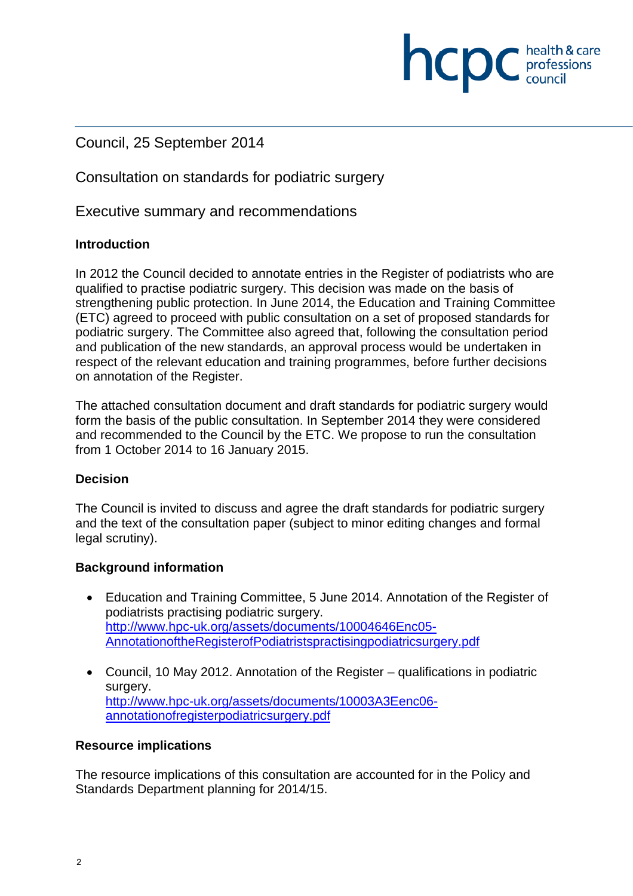#### Council, 25 September 2014

Consultation on standards for podiatric surgery

Executive summary and recommendations

#### **Introduction**

In 2012 the Council decided to annotate entries in the Register of podiatrists who are qualified to practise podiatric surgery. This decision was made on the basis of strengthening public protection. In June 2014, the Education and Training Committee (ETC) agreed to proceed with public consultation on a set of proposed standards for podiatric surgery. The Committee also agreed that, following the consultation period and publication of the new standards, an approval process would be undertaken in respect of the relevant education and training programmes, before further decisions on annotation of the Register.

**NCDC** health & care

The attached consultation document and draft standards for podiatric surgery would form the basis of the public consultation. In September 2014 they were considered and recommended to the Council by the ETC. We propose to run the consultation from 1 October 2014 to 16 January 2015.

#### **Decision**

The Council is invited to discuss and agree the draft standards for podiatric surgery and the text of the consultation paper (subject to minor editing changes and formal legal scrutiny).

#### **Background information**

- Education and Training Committee, 5 June 2014. Annotation of the Register of podiatrists practising podiatric surgery. http://www.hpc-uk.org/assets/documents/10004646Enc05- AnnotationoftheRegisterofPodiatristspractisingpodiatricsurgery.pdf
- Council, 10 May 2012. Annotation of the Register qualifications in podiatric surgery. http://www.hpc-uk.org/assets/documents/10003A3Eenc06 annotationofregisterpodiatricsurgery.pdf

#### **Resource implications**

The resource implications of this consultation are accounted for in the Policy and Standards Department planning for 2014/15.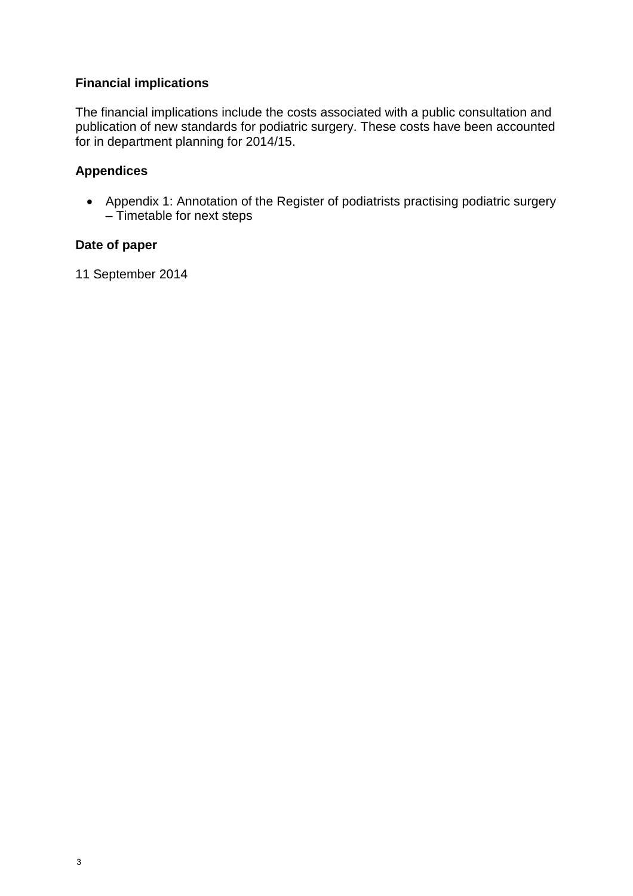#### **Financial implications**

The financial implications include the costs associated with a public consultation and publication of new standards for podiatric surgery. These costs have been accounted for in department planning for 2014/15.

#### **Appendices**

• Appendix 1: Annotation of the Register of podiatrists practising podiatric surgery – Timetable for next steps

#### **Date of paper**

11 September 2014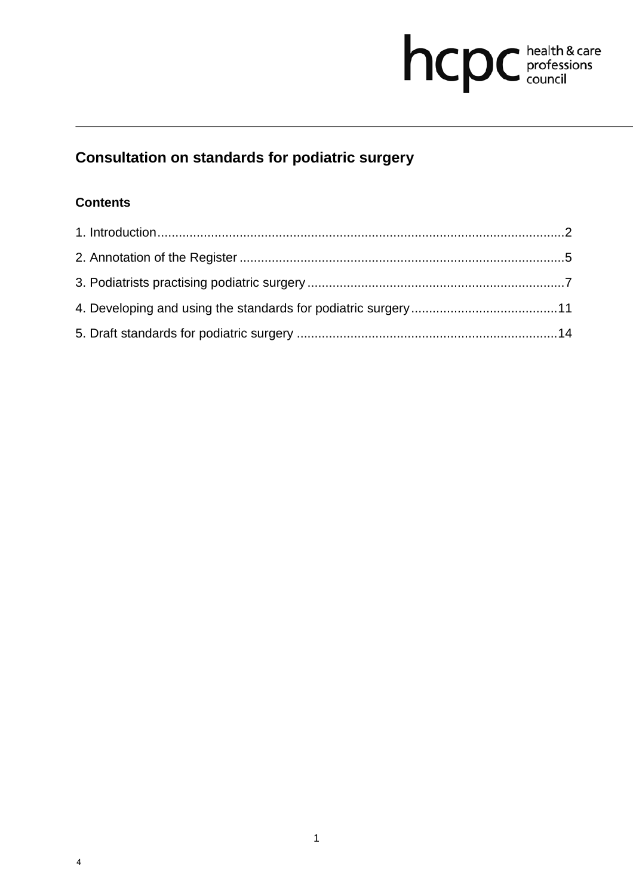# hcpc health & care

# **Consultation on standards for podiatric surgery**

## **Contents**

4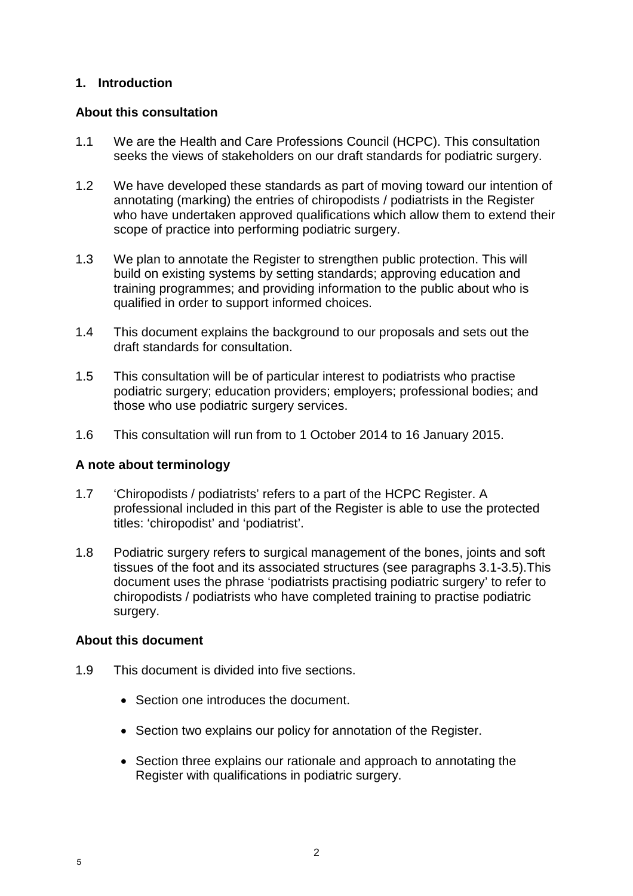#### **1. Introduction**

#### **About this consultation**

- 1.1 We are the Health and Care Professions Council (HCPC). This consultation seeks the views of stakeholders on our draft standards for podiatric surgery.
- 1.2 We have developed these standards as part of moving toward our intention of annotating (marking) the entries of chiropodists / podiatrists in the Register who have undertaken approved qualifications which allow them to extend their scope of practice into performing podiatric surgery.
- 1.3 We plan to annotate the Register to strengthen public protection. This will build on existing systems by setting standards; approving education and training programmes; and providing information to the public about who is qualified in order to support informed choices.
- 1.4 This document explains the background to our proposals and sets out the draft standards for consultation.
- 1.5 This consultation will be of particular interest to podiatrists who practise podiatric surgery; education providers; employers; professional bodies; and those who use podiatric surgery services.
- 1.6 This consultation will run from to 1 October 2014 to 16 January 2015.

#### **A note about terminology**

- 1.7 'Chiropodists / podiatrists' refers to a part of the HCPC Register. A professional included in this part of the Register is able to use the protected titles: 'chiropodist' and 'podiatrist'.
- 1.8 Podiatric surgery refers to surgical management of the bones, joints and soft tissues of the foot and its associated structures (see paragraphs 3.1-3.5).This document uses the phrase 'podiatrists practising podiatric surgery' to refer to chiropodists / podiatrists who have completed training to practise podiatric surgery.

#### **About this document**

- 1.9 This document is divided into five sections.
	- Section one introduces the document.
	- Section two explains our policy for annotation of the Register.
	- Section three explains our rationale and approach to annotating the Register with qualifications in podiatric surgery.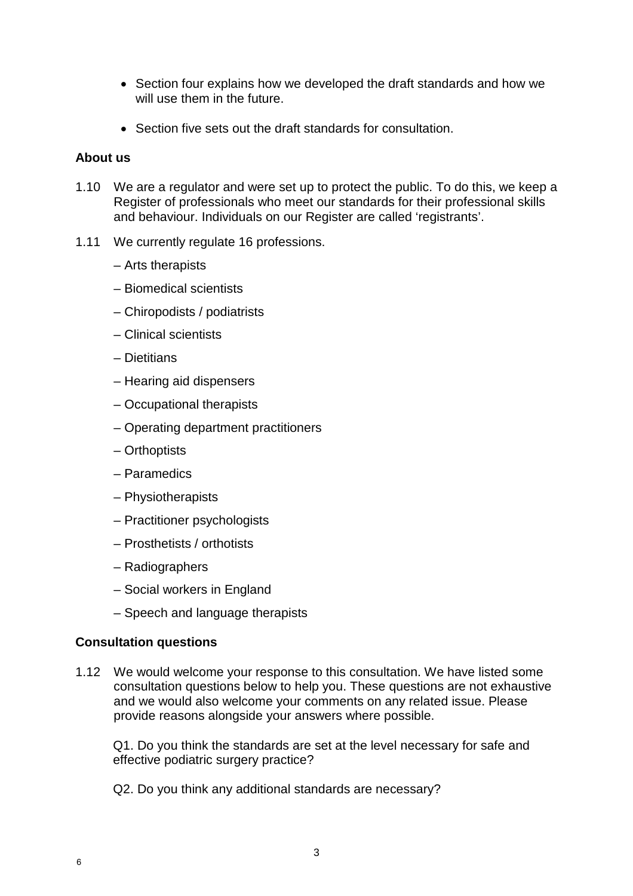- Section four explains how we developed the draft standards and how we will use them in the future.
- Section five sets out the draft standards for consultation.

#### **About us**

- 1.10 We are a regulator and were set up to protect the public. To do this, we keep a Register of professionals who meet our standards for their professional skills and behaviour. Individuals on our Register are called 'registrants'.
- 1.11 We currently regulate 16 professions.
	- Arts therapists
	- Biomedical scientists
	- Chiropodists / podiatrists
	- Clinical scientists
	- Dietitians
	- Hearing aid dispensers
	- Occupational therapists
	- Operating department practitioners
	- Orthoptists
	- Paramedics
	- Physiotherapists
	- Practitioner psychologists
	- Prosthetists / orthotists
	- Radiographers
	- Social workers in England
	- Speech and language therapists

#### **Consultation questions**

1.12 We would welcome your response to this consultation. We have listed some consultation questions below to help you. These questions are not exhaustive and we would also welcome your comments on any related issue. Please provide reasons alongside your answers where possible.

Q1. Do you think the standards are set at the level necessary for safe and effective podiatric surgery practice?

Q2. Do you think any additional standards are necessary?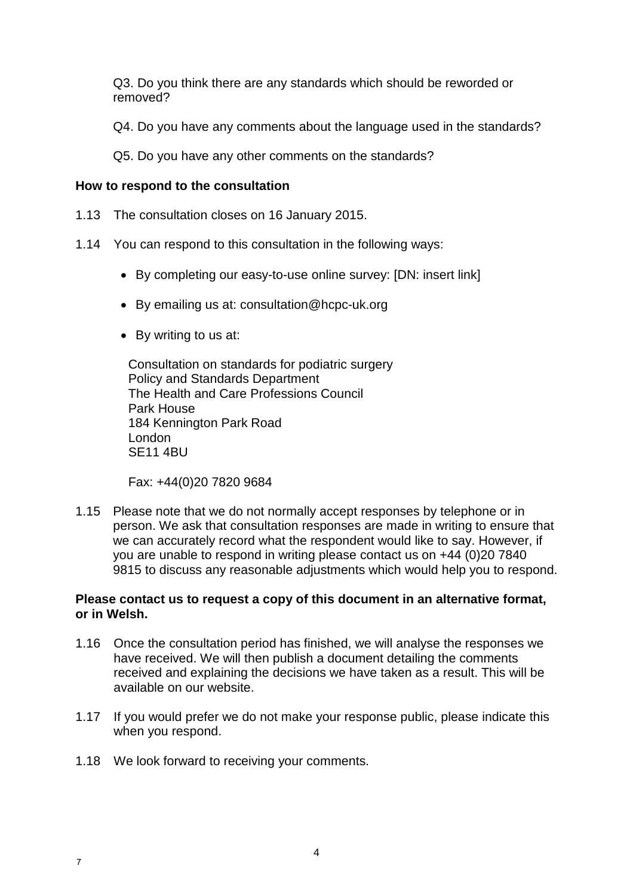Q3. Do you think there are any standards which should be reworded or removed?

Q4. Do you have any comments about the language used in the standards?

Q5. Do you have any other comments on the standards?

#### **How to respond to the consultation**

- 1.13 The consultation closes on 16 January 2015.
- 1.14 You can respond to this consultation in the following ways:
	- By completing our easy-to-use online survey: [DN: insert link]
	- By emailing us at: consultation@hcpc-uk.org
	- By writing to us at:

Consultation on standards for podiatric surgery Policy and Standards Department The Health and Care Professions Council Park House 184 Kennington Park Road London SE11 4BU

Fax: +44(0)20 7820 9684

1.15 Please note that we do not normally accept responses by telephone or in person. We ask that consultation responses are made in writing to ensure that we can accurately record what the respondent would like to say. However, if you are unable to respond in writing please contact us on +44 (0)20 7840 9815 to discuss any reasonable adjustments which would help you to respond.

#### **Please contact us to request a copy of this document in an alternative format, or in Welsh.**

- 1.16 Once the consultation period has finished, we will analyse the responses we have received. We will then publish a document detailing the comments received and explaining the decisions we have taken as a result. This will be available on our website.
- 1.17 If you would prefer we do not make your response public, please indicate this when you respond.
- 1.18 We look forward to receiving your comments.

7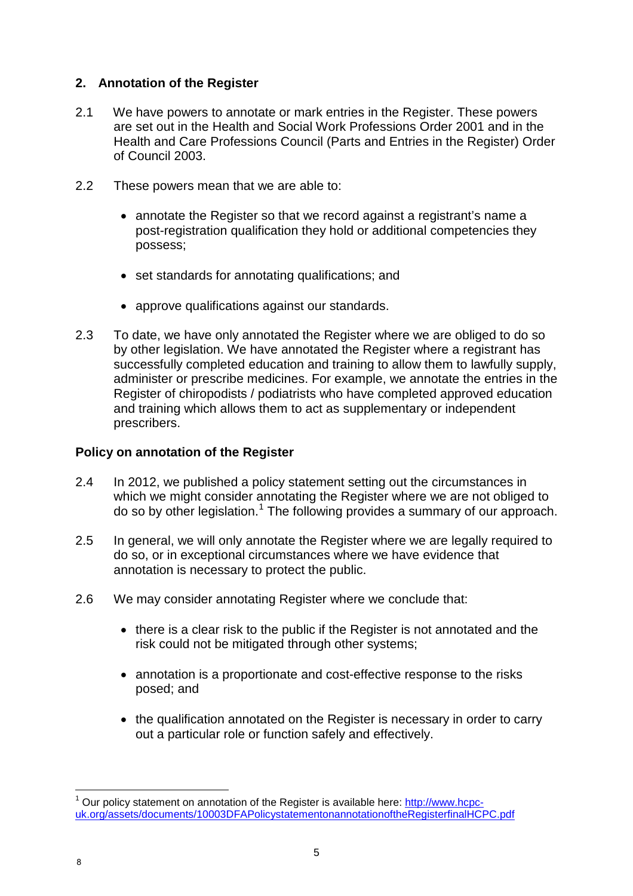#### **2. Annotation of the Register**

- 2.1 We have powers to annotate or mark entries in the Register. These powers are set out in the Health and Social Work Professions Order 2001 and in the Health and Care Professions Council (Parts and Entries in the Register) Order of Council 2003.
- 2.2 These powers mean that we are able to:
	- annotate the Register so that we record against a registrant's name a post-registration qualification they hold or additional competencies they possess;
	- set standards for annotating qualifications; and
	- approve qualifications against our standards.
- 2.3 To date, we have only annotated the Register where we are obliged to do so by other legislation. We have annotated the Register where a registrant has successfully completed education and training to allow them to lawfully supply, administer or prescribe medicines. For example, we annotate the entries in the Register of chiropodists / podiatrists who have completed approved education and training which allows them to act as supplementary or independent prescribers.

#### **Policy on annotation of the Register**

- 2.4 In 2012, we published a policy statement setting out the circumstances in which we might consider annotating the Register where we are not obliged to do so by other legislation.<sup>1</sup> The following provides a summary of our approach.
- 2.5 In general, we will only annotate the Register where we are legally required to do so, or in exceptional circumstances where we have evidence that annotation is necessary to protect the public.
- 2.6 We may consider annotating Register where we conclude that:
	- there is a clear risk to the public if the Register is not annotated and the risk could not be mitigated through other systems;
	- annotation is a proportionate and cost-effective response to the risks posed; and
	- the qualification annotated on the Register is necessary in order to carry out a particular role or function safely and effectively.

 $\overline{\phantom{a}}$ <sup>1</sup> Our policy statement on annotation of the Register is available here: http://www.hcpcuk.org/assets/documents/10003DFAPolicystatementonannotationoftheRegisterfinalHCPC.pdf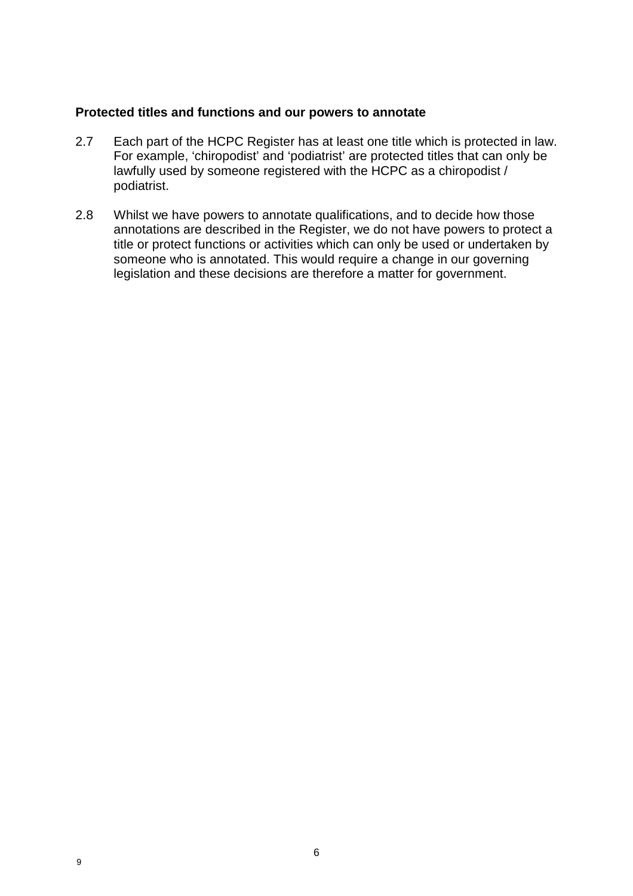#### **Protected titles and functions and our powers to annotate**

- 2.7 Each part of the HCPC Register has at least one title which is protected in law. For example, 'chiropodist' and 'podiatrist' are protected titles that can only be lawfully used by someone registered with the HCPC as a chiropodist / podiatrist.
- 2.8 Whilst we have powers to annotate qualifications, and to decide how those annotations are described in the Register, we do not have powers to protect a title or protect functions or activities which can only be used or undertaken by someone who is annotated. This would require a change in our governing legislation and these decisions are therefore a matter for government.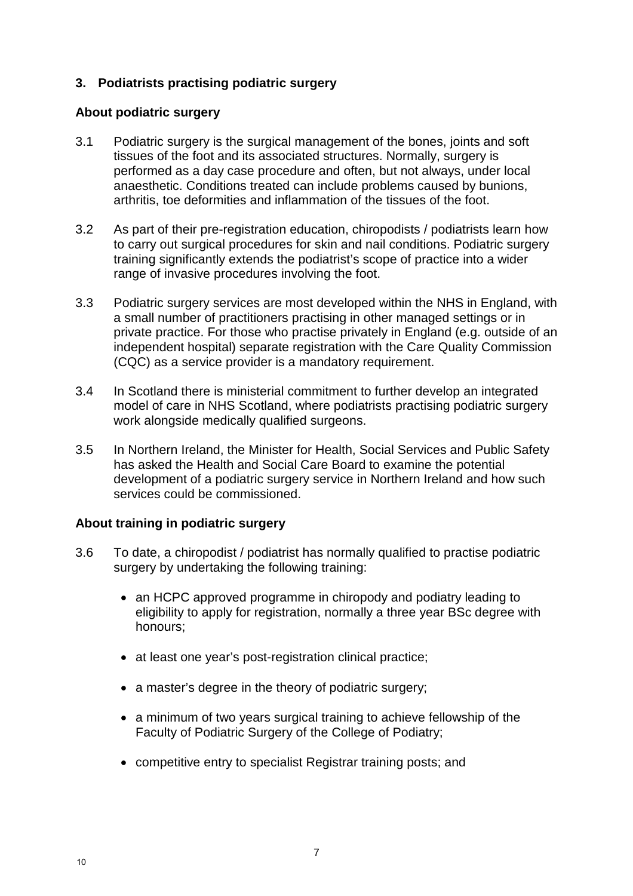#### **3. Podiatrists practising podiatric surgery**

#### **About podiatric surgery**

- 3.1 Podiatric surgery is the surgical management of the bones, joints and soft tissues of the foot and its associated structures. Normally, surgery is performed as a day case procedure and often, but not always, under local anaesthetic. Conditions treated can include problems caused by bunions, arthritis, toe deformities and inflammation of the tissues of the foot.
- 3.2 As part of their pre-registration education, chiropodists / podiatrists learn how to carry out surgical procedures for skin and nail conditions. Podiatric surgery training significantly extends the podiatrist's scope of practice into a wider range of invasive procedures involving the foot.
- 3.3 Podiatric surgery services are most developed within the NHS in England, with a small number of practitioners practising in other managed settings or in private practice. For those who practise privately in England (e.g. outside of an independent hospital) separate registration with the Care Quality Commission (CQC) as a service provider is a mandatory requirement.
- 3.4 In Scotland there is ministerial commitment to further develop an integrated model of care in NHS Scotland, where podiatrists practising podiatric surgery work alongside medically qualified surgeons.
- 3.5 In Northern Ireland, the Minister for Health, Social Services and Public Safety has asked the Health and Social Care Board to examine the potential development of a podiatric surgery service in Northern Ireland and how such services could be commissioned.

#### **About training in podiatric surgery**

- 3.6 To date, a chiropodist / podiatrist has normally qualified to practise podiatric surgery by undertaking the following training:
	- an HCPC approved programme in chiropody and podiatry leading to eligibility to apply for registration, normally a three year BSc degree with honours;
	- at least one year's post-registration clinical practice;
	- a master's degree in the theory of podiatric surgery;
	- a minimum of two years surgical training to achieve fellowship of the Faculty of Podiatric Surgery of the College of Podiatry;
	- competitive entry to specialist Registrar training posts; and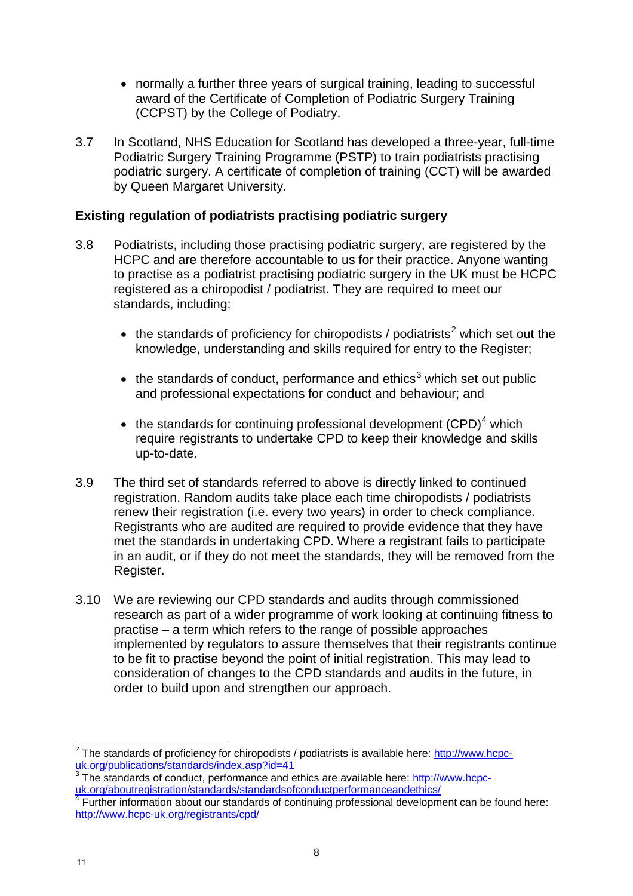- normally a further three years of surgical training, leading to successful award of the Certificate of Completion of Podiatric Surgery Training (CCPST) by the College of Podiatry.
- 3.7 In Scotland, NHS Education for Scotland has developed a three-year, full-time Podiatric Surgery Training Programme (PSTP) to train podiatrists practising podiatric surgery. A certificate of completion of training (CCT) will be awarded by Queen Margaret University.

#### **Existing regulation of podiatrists practising podiatric surgery**

- 3.8 Podiatrists, including those practising podiatric surgery, are registered by the HCPC and are therefore accountable to us for their practice. Anyone wanting to practise as a podiatrist practising podiatric surgery in the UK must be HCPC registered as a chiropodist / podiatrist. They are required to meet our standards, including:
	- the standards of proficiency for chiropodists / podiatrists<sup>2</sup> which set out the knowledge, understanding and skills required for entry to the Register;
	- the standards of conduct, performance and ethics<sup>3</sup> which set out public and professional expectations for conduct and behaviour; and
	- the standards for continuing professional development  $(CPD)^4$  which require registrants to undertake CPD to keep their knowledge and skills up-to-date.
- 3.9 The third set of standards referred to above is directly linked to continued registration. Random audits take place each time chiropodists / podiatrists renew their registration (i.e. every two years) in order to check compliance. Registrants who are audited are required to provide evidence that they have met the standards in undertaking CPD. Where a registrant fails to participate in an audit, or if they do not meet the standards, they will be removed from the Register.
- 3.10 We are reviewing our CPD standards and audits through commissioned research as part of a wider programme of work looking at continuing fitness to practise – a term which refers to the range of possible approaches implemented by regulators to assure themselves that their registrants continue to be fit to practise beyond the point of initial registration. This may lead to consideration of changes to the CPD standards and audits in the future, in order to build upon and strengthen our approach.

 $\overline{a}$  $^2$  The standards of proficiency for chiropodists / podiatrists is available here:  $\underline{\text{http://www.hcpc-}}$ 

uk.org/publications/standards/index.asp?id=41<br>
3 The standards of conduct, performance and ethics are available here: http://www.hcpc-<br>
uk.org/aboutregistration/standards/standardsofconductperformanceandethics/

Further information about our standards of continuing professional development can be found here: http://www.hcpc-uk.org/registrants/cpd/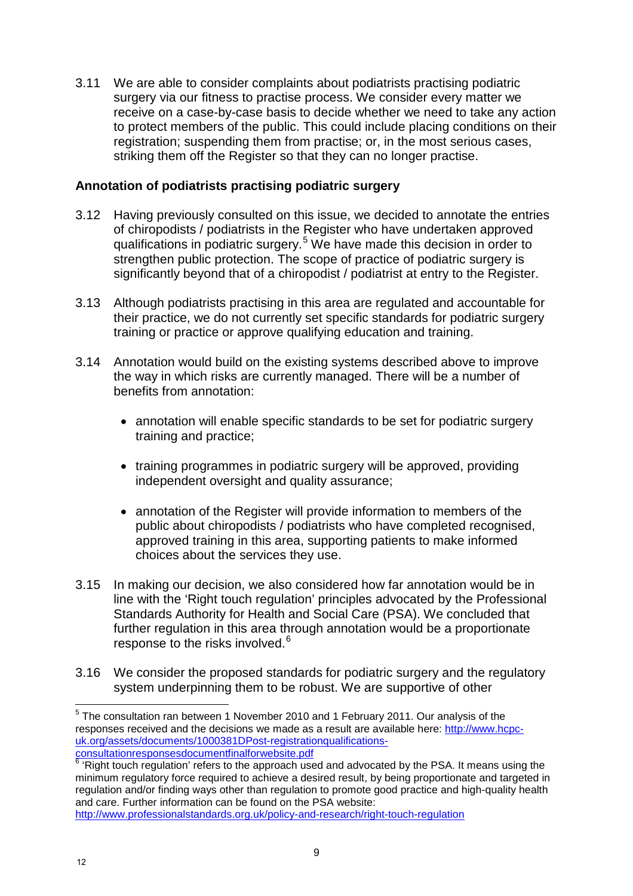3.11 We are able to consider complaints about podiatrists practising podiatric surgery via our fitness to practise process. We consider every matter we receive on a case-by-case basis to decide whether we need to take any action to protect members of the public. This could include placing conditions on their registration; suspending them from practise; or, in the most serious cases, striking them off the Register so that they can no longer practise.

#### **Annotation of podiatrists practising podiatric surgery**

- 3.12 Having previously consulted on this issue, we decided to annotate the entries of chiropodists / podiatrists in the Register who have undertaken approved qualifications in podiatric surgery. <sup>5</sup> We have made this decision in order to strengthen public protection. The scope of practice of podiatric surgery is significantly beyond that of a chiropodist / podiatrist at entry to the Register.
- 3.13 Although podiatrists practising in this area are regulated and accountable for their practice, we do not currently set specific standards for podiatric surgery training or practice or approve qualifying education and training.
- 3.14 Annotation would build on the existing systems described above to improve the way in which risks are currently managed. There will be a number of benefits from annotation:
	- annotation will enable specific standards to be set for podiatric surgery training and practice;
	- training programmes in podiatric surgery will be approved, providing independent oversight and quality assurance;
	- annotation of the Register will provide information to members of the public about chiropodists / podiatrists who have completed recognised, approved training in this area, supporting patients to make informed choices about the services they use.
- 3.15 In making our decision, we also considered how far annotation would be in line with the 'Right touch regulation' principles advocated by the Professional Standards Authority for Health and Social Care (PSA). We concluded that further regulation in this area through annotation would be a proportionate response to the risks involved.<sup>6</sup>
- 3.16 We consider the proposed standards for podiatric surgery and the regulatory system underpinning them to be robust. We are supportive of other

 $\overline{a}$  $<sup>5</sup>$  The consultation ran between 1 November 2010 and 1 February 2011. Our analysis of the</sup> responses received and the decisions we made as a result are available here: http://www.hcpcuk.org/assets/documents/1000381DPost-registrationqualifications-<br>consultationresponsesdocumentfinalforwebsite.pdf

<sup>&</sup>lt;sup>i</sup> 'Right touch regulation' refers to the approach used and advocated by the PSA. It means using the minimum regulatory force required to achieve a desired result, by being proportionate and targeted in regulation and/or finding ways other than regulation to promote good practice and high-quality health and care. Further information can be found on the PSA website: http://www.professionalstandards.org.uk/policy-and-research/right-touch-regulation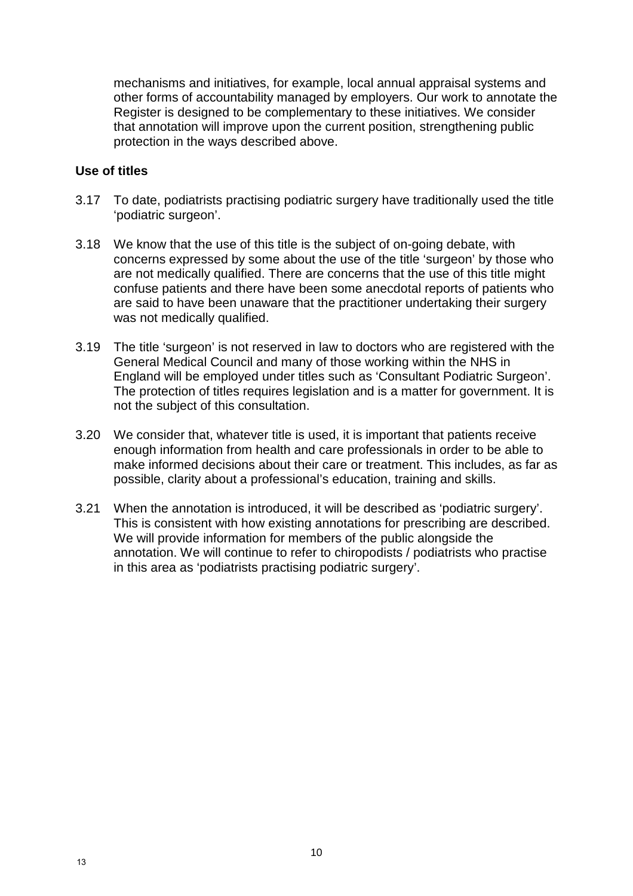mechanisms and initiatives, for example, local annual appraisal systems and other forms of accountability managed by employers. Our work to annotate the Register is designed to be complementary to these initiatives. We consider that annotation will improve upon the current position, strengthening public protection in the ways described above.

#### **Use of titles**

- 3.17 To date, podiatrists practising podiatric surgery have traditionally used the title 'podiatric surgeon'.
- 3.18 We know that the use of this title is the subject of on-going debate, with concerns expressed by some about the use of the title 'surgeon' by those who are not medically qualified. There are concerns that the use of this title might confuse patients and there have been some anecdotal reports of patients who are said to have been unaware that the practitioner undertaking their surgery was not medically qualified.
- 3.19 The title 'surgeon' is not reserved in law to doctors who are registered with the General Medical Council and many of those working within the NHS in England will be employed under titles such as 'Consultant Podiatric Surgeon'. The protection of titles requires legislation and is a matter for government. It is not the subject of this consultation.
- 3.20 We consider that, whatever title is used, it is important that patients receive enough information from health and care professionals in order to be able to make informed decisions about their care or treatment. This includes, as far as possible, clarity about a professional's education, training and skills.
- 3.21 When the annotation is introduced, it will be described as 'podiatric surgery'. This is consistent with how existing annotations for prescribing are described. We will provide information for members of the public alongside the annotation. We will continue to refer to chiropodists / podiatrists who practise in this area as 'podiatrists practising podiatric surgery'.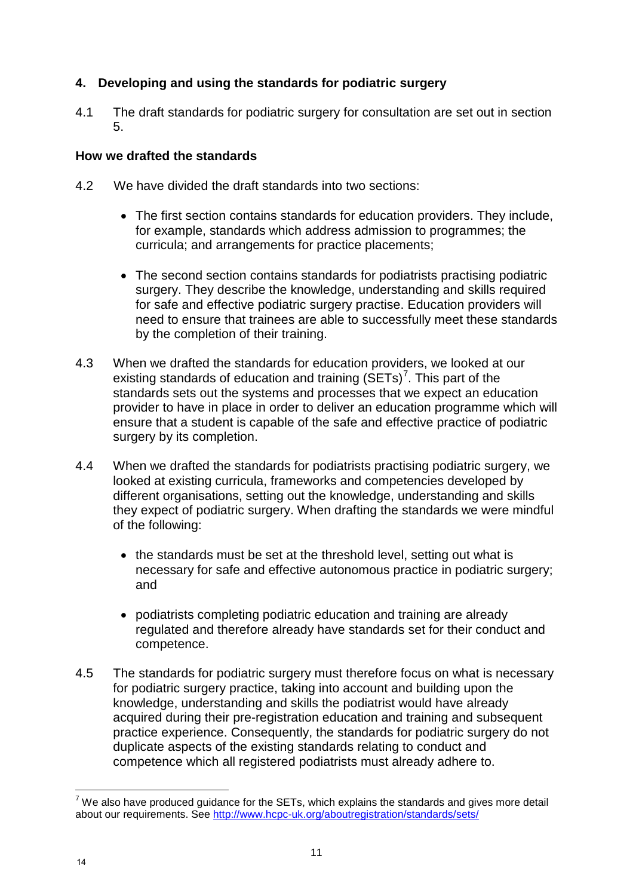#### **4. Developing and using the standards for podiatric surgery**

4.1 The draft standards for podiatric surgery for consultation are set out in section 5.

#### **How we drafted the standards**

- 4.2 We have divided the draft standards into two sections:
	- The first section contains standards for education providers. They include, for example, standards which address admission to programmes; the curricula; and arrangements for practice placements;
	- The second section contains standards for podiatrists practising podiatric surgery. They describe the knowledge, understanding and skills required for safe and effective podiatric surgery practise. Education providers will need to ensure that trainees are able to successfully meet these standards by the completion of their training.
- 4.3 When we drafted the standards for education providers, we looked at our existing standards of education and training  $(SETS)^7$ . This part of the standards sets out the systems and processes that we expect an education provider to have in place in order to deliver an education programme which will ensure that a student is capable of the safe and effective practice of podiatric surgery by its completion.
- 4.4 When we drafted the standards for podiatrists practising podiatric surgery, we looked at existing curricula, frameworks and competencies developed by different organisations, setting out the knowledge, understanding and skills they expect of podiatric surgery. When drafting the standards we were mindful of the following:
	- the standards must be set at the threshold level, setting out what is necessary for safe and effective autonomous practice in podiatric surgery; and
	- podiatrists completing podiatric education and training are already regulated and therefore already have standards set for their conduct and competence.
- 4.5 The standards for podiatric surgery must therefore focus on what is necessary for podiatric surgery practice, taking into account and building upon the knowledge, understanding and skills the podiatrist would have already acquired during their pre-registration education and training and subsequent practice experience. Consequently, the standards for podiatric surgery do not duplicate aspects of the existing standards relating to conduct and competence which all registered podiatrists must already adhere to.

 $\overline{a}$  $^7$  We also have produced guidance for the SETs, which explains the standards and gives more detail about our requirements. See http://www.hcpc-uk.org/aboutregistration/standards/sets/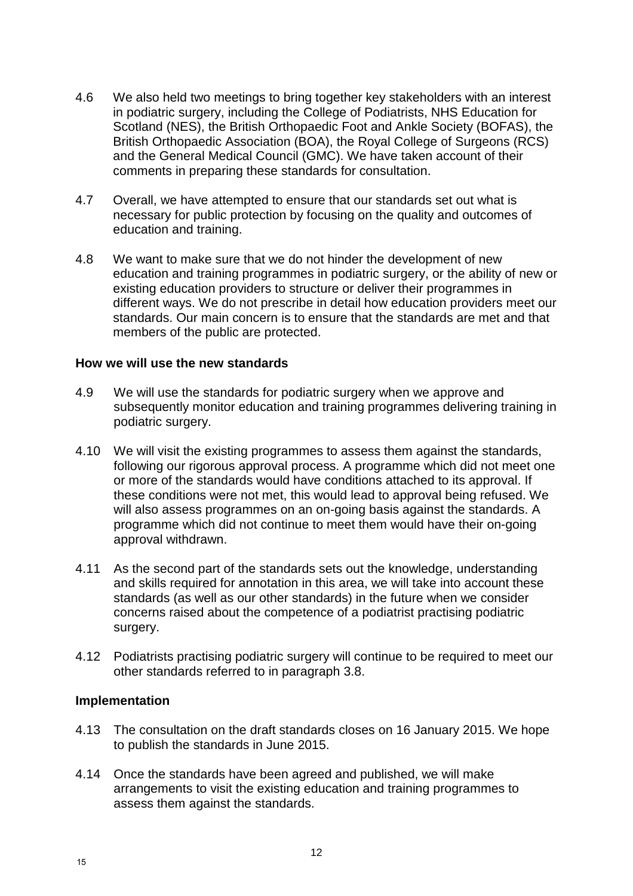- 4.6 We also held two meetings to bring together key stakeholders with an interest in podiatric surgery, including the College of Podiatrists, NHS Education for Scotland (NES), the British Orthopaedic Foot and Ankle Society (BOFAS), the British Orthopaedic Association (BOA), the Royal College of Surgeons (RCS) and the General Medical Council (GMC). We have taken account of their comments in preparing these standards for consultation.
- 4.7 Overall, we have attempted to ensure that our standards set out what is necessary for public protection by focusing on the quality and outcomes of education and training.
- 4.8 We want to make sure that we do not hinder the development of new education and training programmes in podiatric surgery, or the ability of new or existing education providers to structure or deliver their programmes in different ways. We do not prescribe in detail how education providers meet our standards. Our main concern is to ensure that the standards are met and that members of the public are protected.

#### **How we will use the new standards**

- 4.9 We will use the standards for podiatric surgery when we approve and subsequently monitor education and training programmes delivering training in podiatric surgery.
- 4.10 We will visit the existing programmes to assess them against the standards, following our rigorous approval process. A programme which did not meet one or more of the standards would have conditions attached to its approval. If these conditions were not met, this would lead to approval being refused. We will also assess programmes on an on-going basis against the standards. A programme which did not continue to meet them would have their on-going approval withdrawn.
- 4.11 As the second part of the standards sets out the knowledge, understanding and skills required for annotation in this area, we will take into account these standards (as well as our other standards) in the future when we consider concerns raised about the competence of a podiatrist practising podiatric surgery.
- 4.12 Podiatrists practising podiatric surgery will continue to be required to meet our other standards referred to in paragraph 3.8.

#### **Implementation**

- 4.13 The consultation on the draft standards closes on 16 January 2015. We hope to publish the standards in June 2015.
- 4.14 Once the standards have been agreed and published, we will make arrangements to visit the existing education and training programmes to assess them against the standards.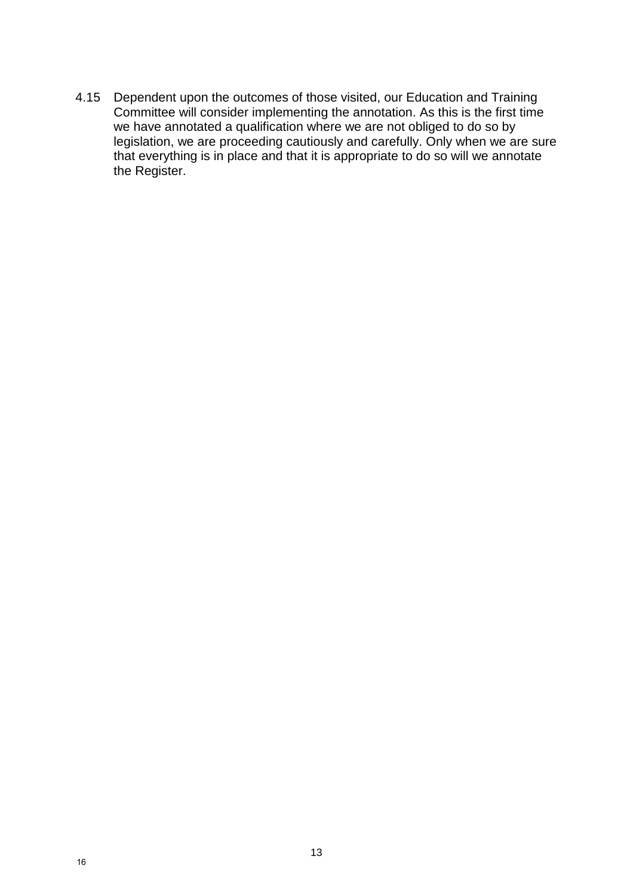4.15 Dependent upon the outcomes of those visited, our Education and Training Committee will consider implementing the annotation. As this is the first time we have annotated a qualification where we are not obliged to do so by legislation, we are proceeding cautiously and carefully. Only when we are sure that everything is in place and that it is appropriate to do so will we annotate the Register.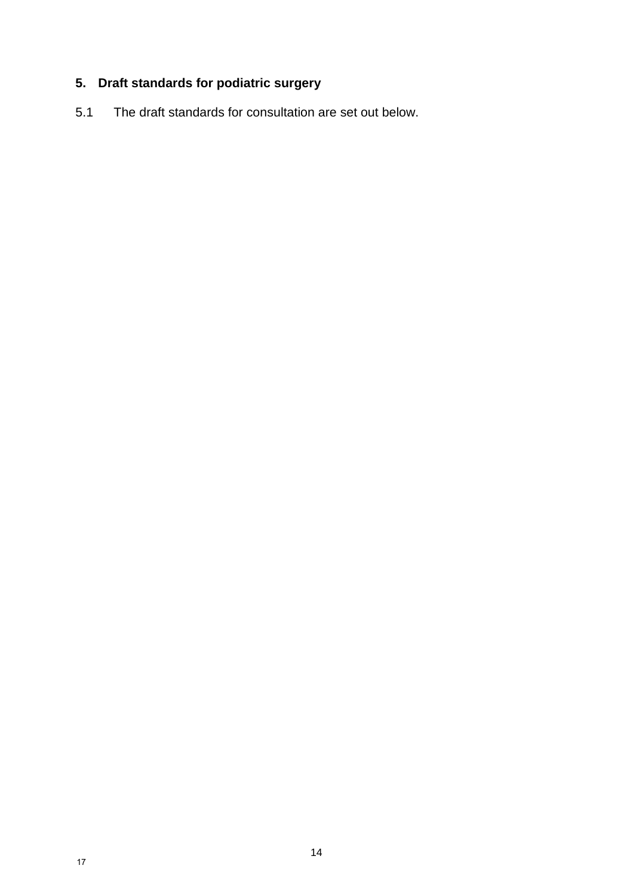## **5. Draft standards for podiatric surgery**

5.1 The draft standards for consultation are set out below.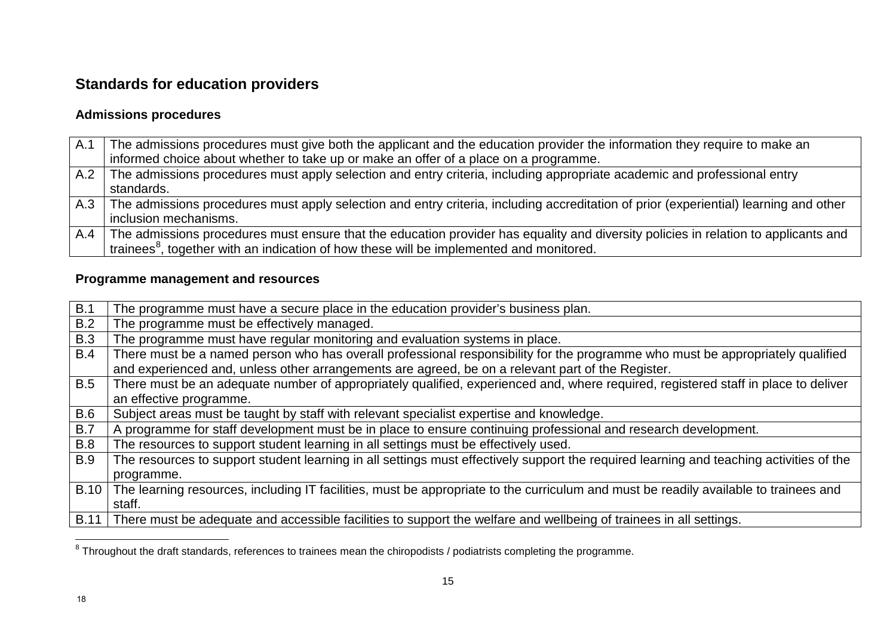## **Standards for education providers**

#### **Admissions procedures**

| A.1 | The admissions procedures must give both the applicant and the education provider the information they require to make an<br>informed choice about whether to take up or make an offer of a place on a programme.                          |
|-----|--------------------------------------------------------------------------------------------------------------------------------------------------------------------------------------------------------------------------------------------|
| A.2 | The admissions procedures must apply selection and entry criteria, including appropriate academic and professional entry<br>standards.                                                                                                     |
| A.3 | The admissions procedures must apply selection and entry criteria, including accreditation of prior (experiential) learning and other<br>inclusion mechanisms.                                                                             |
| A.4 | The admissions procedures must ensure that the education provider has equality and diversity policies in relation to applicants and<br>trainees <sup>8</sup> , together with an indication of how these will be implemented and monitored. |

#### **Programme management and resources**

| B.1         | The programme must have a secure place in the education provider's business plan.                                                       |
|-------------|-----------------------------------------------------------------------------------------------------------------------------------------|
| B.2         | The programme must be effectively managed.                                                                                              |
| <b>B.3</b>  | The programme must have regular monitoring and evaluation systems in place.                                                             |
| <b>B.4</b>  | There must be a named person who has overall professional responsibility for the programme who must be appropriately qualified          |
|             | and experienced and, unless other arrangements are agreed, be on a relevant part of the Register.                                       |
| B.5         | There must be an adequate number of appropriately qualified, experienced and, where required, registered staff in place to deliver      |
|             | an effective programme.                                                                                                                 |
| <b>B.6</b>  | Subject areas must be taught by staff with relevant specialist expertise and knowledge.                                                 |
| B.7         | A programme for staff development must be in place to ensure continuing professional and research development.                          |
| <b>B.8</b>  | The resources to support student learning in all settings must be effectively used.                                                     |
| <b>B.9</b>  | The resources to support student learning in all settings must effectively support the required learning and teaching activities of the |
|             | programme.                                                                                                                              |
| <b>B.10</b> | The learning resources, including IT facilities, must be appropriate to the curriculum and must be readily available to trainees and    |
|             | staff.                                                                                                                                  |
| B.11        | There must be adequate and accessible facilities to support the welfare and wellbeing of trainees in all settings.                      |
|             |                                                                                                                                         |

 $^8$  Throughout the draft standards, references to trainees mean the chiropodists / podiatrists completing the programme.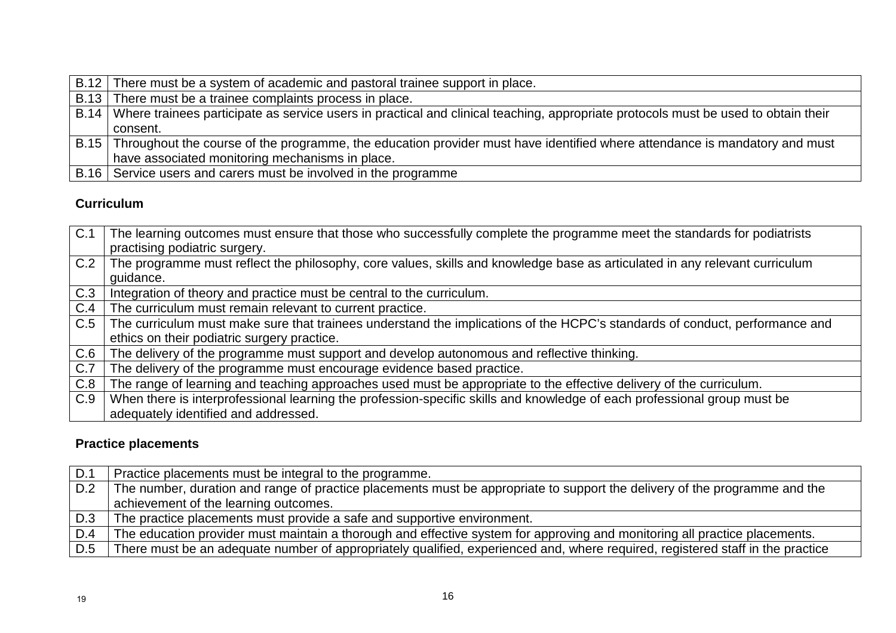| B.12 There must be a system of academic and pastoral trainee support in place.                                                            |
|-------------------------------------------------------------------------------------------------------------------------------------------|
| B.13 There must be a trainee complaints process in place.                                                                                 |
| B.14   Where trainees participate as service users in practical and clinical teaching, appropriate protocols must be used to obtain their |
| consent.                                                                                                                                  |
| B.15 Throughout the course of the programme, the education provider must have identified where attendance is mandatory and must           |
| have associated monitoring mechanisms in place.                                                                                           |
| B.16 Service users and carers must be involved in the programme                                                                           |

### **Curriculum**

| C.1 | The learning outcomes must ensure that those who successfully complete the programme meet the standards for podiatrists<br>practising podiatric surgery. |  |
|-----|----------------------------------------------------------------------------------------------------------------------------------------------------------|--|
| C.2 | The programme must reflect the philosophy, core values, skills and knowledge base as articulated in any relevant curriculum<br>guidance.                 |  |
| C.3 | Integration of theory and practice must be central to the curriculum.                                                                                    |  |
| C.4 | The curriculum must remain relevant to current practice.                                                                                                 |  |
| C.5 | The curriculum must make sure that trainees understand the implications of the HCPC's standards of conduct, performance and                              |  |
|     | ethics on their podiatric surgery practice.                                                                                                              |  |
| C.6 | The delivery of the programme must support and develop autonomous and reflective thinking.                                                               |  |
| C.7 | The delivery of the programme must encourage evidence based practice.                                                                                    |  |
| C.8 | The range of learning and teaching approaches used must be appropriate to the effective delivery of the curriculum.                                      |  |
| C.9 | When there is interprofessional learning the profession-specific skills and knowledge of each professional group must be                                 |  |
|     | adequately identified and addressed.                                                                                                                     |  |

## **Practice placements**

| D.1 | Practice placements must be integral to the programme.                                                                         |  |
|-----|--------------------------------------------------------------------------------------------------------------------------------|--|
| D.2 | The number, duration and range of practice placements must be appropriate to support the delivery of the programme and the     |  |
|     | achievement of the learning outcomes.                                                                                          |  |
| D.3 | The practice placements must provide a safe and supportive environment.                                                        |  |
| D.4 | The education provider must maintain a thorough and effective system for approving and monitoring all practice placements.     |  |
| D.5 | There must be an adequate number of appropriately qualified, experienced and, where required, registered staff in the practice |  |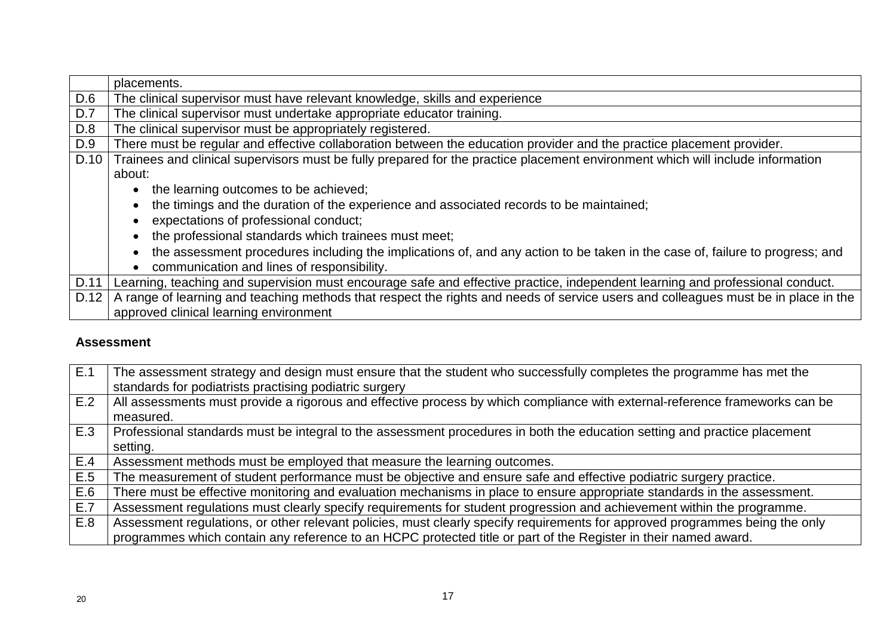|      | placements.                                                                                                                        |  |  |
|------|------------------------------------------------------------------------------------------------------------------------------------|--|--|
| D.6  | The clinical supervisor must have relevant knowledge, skills and experience                                                        |  |  |
| D.7  | The clinical supervisor must undertake appropriate educator training.                                                              |  |  |
| D.8  | The clinical supervisor must be appropriately registered.                                                                          |  |  |
| D.9  | There must be regular and effective collaboration between the education provider and the practice placement provider.              |  |  |
| D.10 | Trainees and clinical supervisors must be fully prepared for the practice placement environment which will include information     |  |  |
|      | about:                                                                                                                             |  |  |
|      | • the learning outcomes to be achieved;                                                                                            |  |  |
|      | the timings and the duration of the experience and associated records to be maintained;                                            |  |  |
|      | expectations of professional conduct;                                                                                              |  |  |
|      | the professional standards which trainees must meet;                                                                               |  |  |
|      | the assessment procedures including the implications of, and any action to be taken in the case of, failure to progress; and       |  |  |
|      | communication and lines of responsibility.                                                                                         |  |  |
| D.11 | Learning, teaching and supervision must encourage safe and effective practice, independent learning and professional conduct.      |  |  |
| D.12 | A range of learning and teaching methods that respect the rights and needs of service users and colleagues must be in place in the |  |  |
|      | approved clinical learning environment                                                                                             |  |  |

#### **Assessment**

| E.1 | The assessment strategy and design must ensure that the student who successfully completes the programme has met the         |  |
|-----|------------------------------------------------------------------------------------------------------------------------------|--|
|     | standards for podiatrists practising podiatric surgery                                                                       |  |
| E.2 | All assessments must provide a rigorous and effective process by which compliance with external-reference frameworks can be  |  |
|     | measured.                                                                                                                    |  |
| E.3 | Professional standards must be integral to the assessment procedures in both the education setting and practice placement    |  |
|     | setting.                                                                                                                     |  |
| E.4 | Assessment methods must be employed that measure the learning outcomes.                                                      |  |
| E.5 | The measurement of student performance must be objective and ensure safe and effective podiatric surgery practice.           |  |
| E.6 | There must be effective monitoring and evaluation mechanisms in place to ensure appropriate standards in the assessment.     |  |
| E.7 | Assessment regulations must clearly specify requirements for student progression and achievement within the programme.       |  |
| E.8 | Assessment regulations, or other relevant policies, must clearly specify requirements for approved programmes being the only |  |
|     | programmes which contain any reference to an HCPC protected title or part of the Register in their named award.              |  |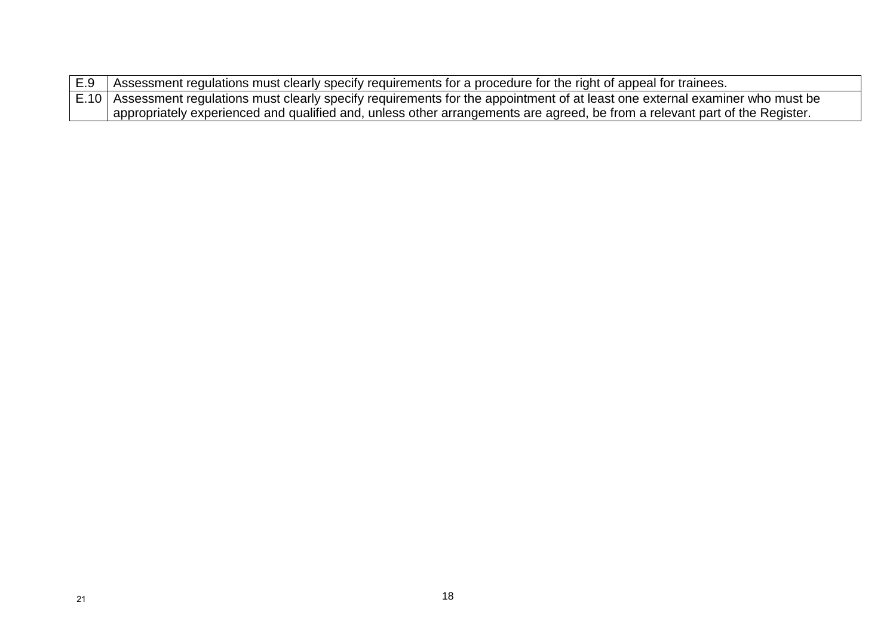| E.9 Assessment regulations must clearly specify requirements for a procedure for the right of appeal for trainees.                |  |
|-----------------------------------------------------------------------------------------------------------------------------------|--|
| E.10   Assessment regulations must clearly specify requirements for the appointment of at least one external examiner who must be |  |
| appropriately experienced and qualified and, unless other arrangements are agreed, be from a relevant part of the Register.       |  |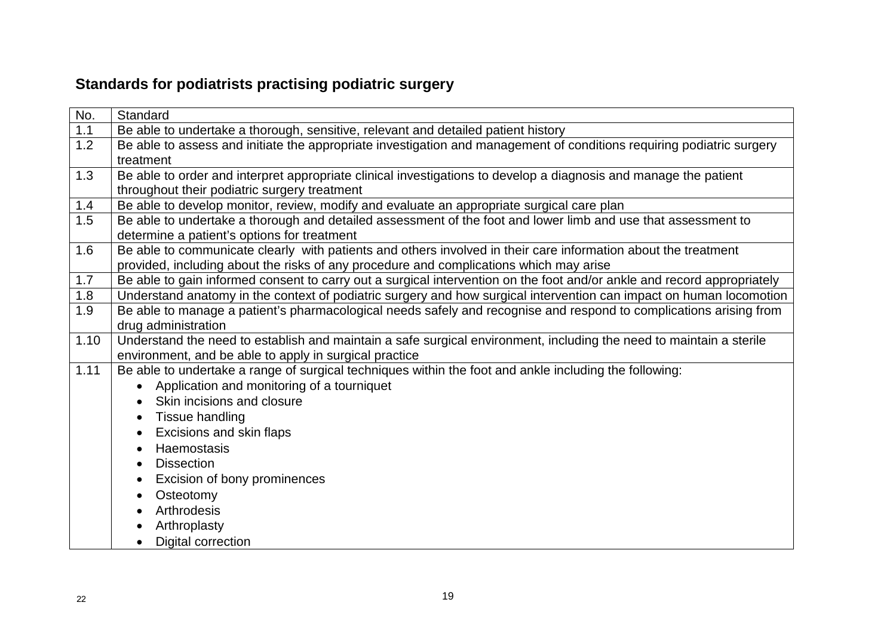## **Standards for podiatrists practising podiatric surgery**

| No.  | Standard                                                                                                                |  |  |  |
|------|-------------------------------------------------------------------------------------------------------------------------|--|--|--|
| 1.1  | Be able to undertake a thorough, sensitive, relevant and detailed patient history                                       |  |  |  |
| 1.2  | Be able to assess and initiate the appropriate investigation and management of conditions requiring podiatric surgery   |  |  |  |
|      | treatment                                                                                                               |  |  |  |
| 1.3  | Be able to order and interpret appropriate clinical investigations to develop a diagnosis and manage the patient        |  |  |  |
|      | throughout their podiatric surgery treatment                                                                            |  |  |  |
| 1.4  | Be able to develop monitor, review, modify and evaluate an appropriate surgical care plan                               |  |  |  |
| 1.5  | Be able to undertake a thorough and detailed assessment of the foot and lower limb and use that assessment to           |  |  |  |
|      | determine a patient's options for treatment                                                                             |  |  |  |
| 1.6  | Be able to communicate clearly with patients and others involved in their care information about the treatment          |  |  |  |
|      | provided, including about the risks of any procedure and complications which may arise                                  |  |  |  |
| 1.7  | Be able to gain informed consent to carry out a surgical intervention on the foot and/or ankle and record appropriately |  |  |  |
| 1.8  | Understand anatomy in the context of podiatric surgery and how surgical intervention can impact on human locomotion     |  |  |  |
| 1.9  | Be able to manage a patient's pharmacological needs safely and recognise and respond to complications arising from      |  |  |  |
|      | drug administration                                                                                                     |  |  |  |
| 1.10 | Understand the need to establish and maintain a safe surgical environment, including the need to maintain a sterile     |  |  |  |
|      | environment, and be able to apply in surgical practice                                                                  |  |  |  |
| 1.11 | Be able to undertake a range of surgical techniques within the foot and ankle including the following:                  |  |  |  |
|      | Application and monitoring of a tourniquet                                                                              |  |  |  |
|      | Skin incisions and closure                                                                                              |  |  |  |
|      | Tissue handling<br>$\bullet$                                                                                            |  |  |  |
|      | Excisions and skin flaps<br>$\bullet$                                                                                   |  |  |  |
|      | Haemostasis<br>$\bullet$                                                                                                |  |  |  |
|      | <b>Dissection</b><br>$\bullet$                                                                                          |  |  |  |
|      | Excision of bony prominences<br>$\bullet$                                                                               |  |  |  |
|      | Osteotomy<br>$\bullet$                                                                                                  |  |  |  |
|      | Arthrodesis                                                                                                             |  |  |  |
|      | Arthroplasty                                                                                                            |  |  |  |
|      | Digital correction                                                                                                      |  |  |  |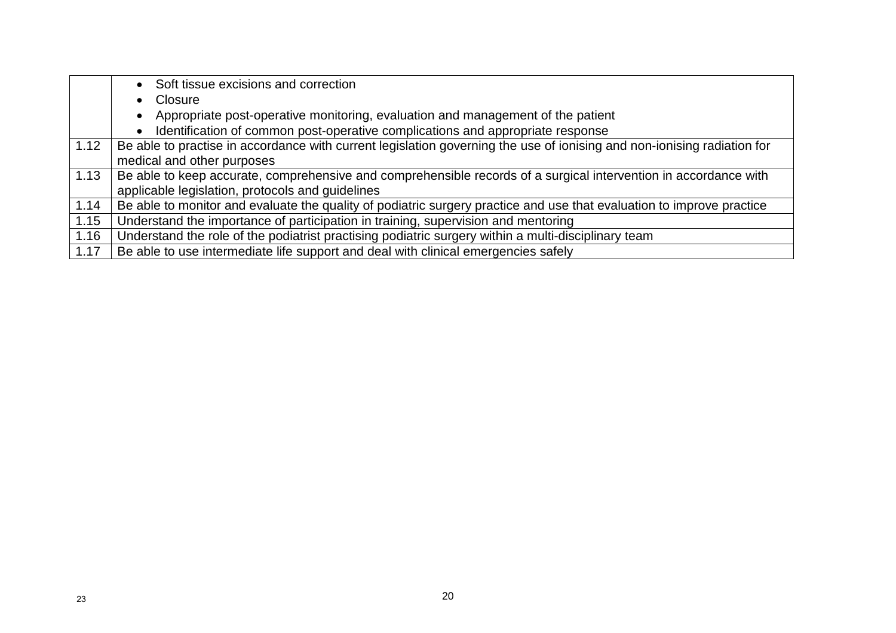|      | • Soft tissue excisions and correction                                                                                  |  |
|------|-------------------------------------------------------------------------------------------------------------------------|--|
|      | Closure<br>$\bullet$                                                                                                    |  |
|      | Appropriate post-operative monitoring, evaluation and management of the patient<br>$\bullet$                            |  |
|      | Identification of common post-operative complications and appropriate response                                          |  |
| 1.12 | Be able to practise in accordance with current legislation governing the use of ionising and non-ionising radiation for |  |
|      | medical and other purposes                                                                                              |  |
| 1.13 | Be able to keep accurate, comprehensive and comprehensible records of a surgical intervention in accordance with        |  |
|      | applicable legislation, protocols and guidelines                                                                        |  |
| 1.14 | Be able to monitor and evaluate the quality of podiatric surgery practice and use that evaluation to improve practice   |  |
| 1.15 | Understand the importance of participation in training, supervision and mentoring                                       |  |
| 1.16 | Understand the role of the podiatrist practising podiatric surgery within a multi-disciplinary team                     |  |
| 1.17 | Be able to use intermediate life support and deal with clinical emergencies safely                                      |  |